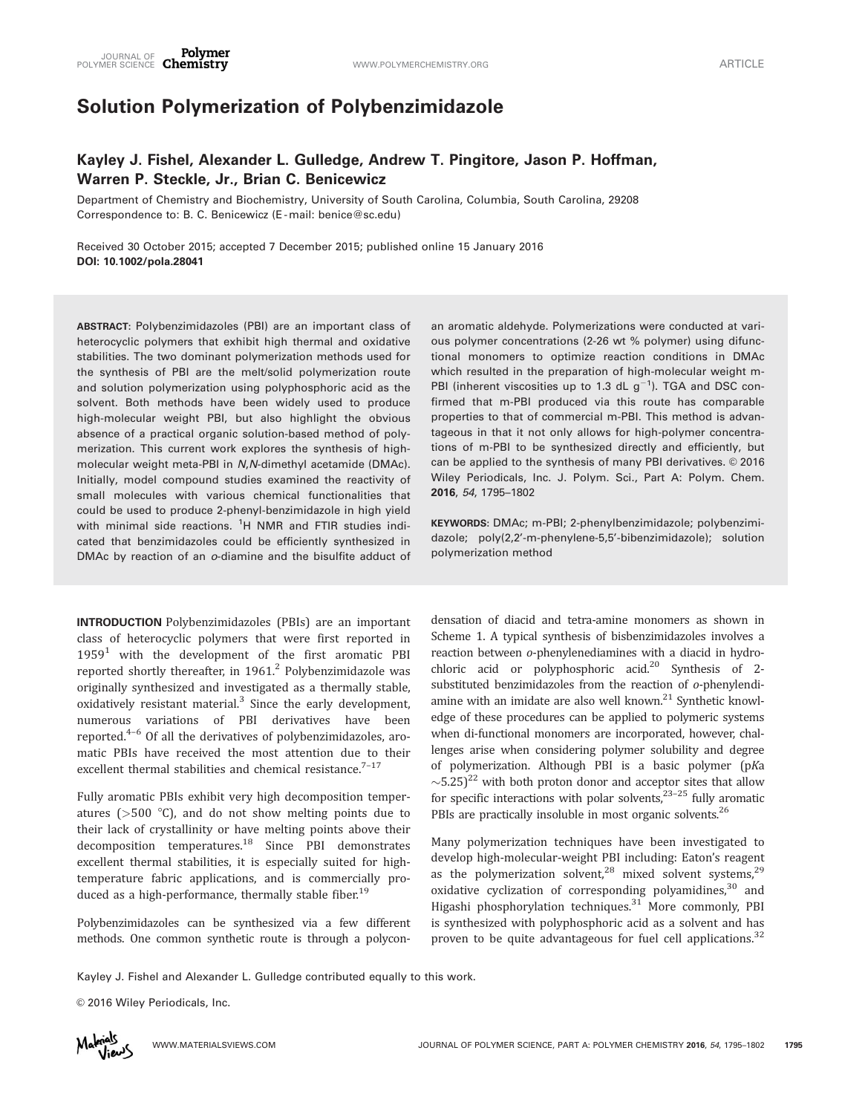# Solution Polymerization of Polybenzimidazole

# Kayley J. Fishel, Alexander L. Gulledge, Andrew T. Pingitore, Jason P. Hoffman, Warren P. Steckle, Jr., Brian C. Benicewicz

Department of Chemistry and Biochemistry, University of South Carolina, Columbia, South Carolina, 29208 Correspondence to: B. C. Benicewicz (E -mail: benice@sc.edu)

Received 30 October 2015; accepted 7 December 2015; published online 15 January 2016 DOI: 10.1002/pola.28041

ABSTRACT: Polybenzimidazoles (PBI) are an important class of heterocyclic polymers that exhibit high thermal and oxidative stabilities. The two dominant polymerization methods used for the synthesis of PBI are the melt/solid polymerization route and solution polymerization using polyphosphoric acid as the solvent. Both methods have been widely used to produce high-molecular weight PBI, but also highlight the obvious absence of a practical organic solution-based method of polymerization. This current work explores the synthesis of highmolecular weight meta-PBI in N,N-dimethyl acetamide (DMAc). Initially, model compound studies examined the reactivity of small molecules with various chemical functionalities that could be used to produce 2-phenyl-benzimidazole in high yield with minimal side reactions. <sup>1</sup>H NMR and FTIR studies indicated that benzimidazoles could be efficiently synthesized in DMAc by reaction of an o-diamine and the bisulfite adduct of

INTRODUCTION Polybenzimidazoles (PBIs) are an important class of heterocyclic polymers that were first reported in  $1959<sup>1</sup>$  with the development of the first aromatic PBI reported shortly thereafter, in  $1961<sup>2</sup>$  Polybenzimidazole was originally synthesized and investigated as a thermally stable, oxidatively resistant material. $3$  Since the early development, numerous variations of PBI derivatives have been reported.4–6 Of all the derivatives of polybenzimidazoles, aromatic PBIs have received the most attention due to their excellent thermal stabilities and chemical resistance.<sup>7-17</sup>

Fully aromatic PBIs exhibit very high decomposition temperatures ( $>500$  °C), and do not show melting points due to their lack of crystallinity or have melting points above their decomposition temperatures.<sup>18</sup> Since PBI demonstrates excellent thermal stabilities, it is especially suited for hightemperature fabric applications, and is commercially produced as a high-performance, thermally stable fiber.<sup>19</sup>

Polybenzimidazoles can be synthesized via a few different methods. One common synthetic route is through a polyconan aromatic aldehyde. Polymerizations were conducted at various polymer concentrations (2-26 wt % polymer) using difunctional monomers to optimize reaction conditions in DMAc which resulted in the preparation of high-molecular weight m-PBI (inherent viscosities up to 1.3 dL  $g^{-1}$ ). TGA and DSC confirmed that m-PBI produced via this route has comparable properties to that of commercial m-PBI. This method is advantageous in that it not only allows for high-polymer concentrations of m-PBI to be synthesized directly and efficiently, but can be applied to the synthesis of many PBI derivatives.  $©$  2016 Wiley Periodicals, Inc. J. Polym. Sci., Part A: Polym. Chem. 2016, 54, 1795–1802

KEYWORDS: DMAc; m-PBI; 2-phenylbenzimidazole; polybenzimidazole; poly(2,2'-m-phenylene-5,5'-bibenzimidazole); solution polymerization method

densation of diacid and tetra-amine monomers as shown in Scheme 1. A typical synthesis of bisbenzimidazoles involves a reaction between o-phenylenediamines with a diacid in hydrochloric acid or polyphosphoric acid.<sup>20</sup> Synthesis of 2substituted benzimidazoles from the reaction of o-phenylendiamine with an imidate are also well known. $21$  Synthetic knowledge of these procedures can be applied to polymeric systems when di-functional monomers are incorporated, however, challenges arise when considering polymer solubility and degree of polymerization. Although PBI is a basic polymer (pKa  $\sim$ 5.25)<sup>22</sup> with both proton donor and acceptor sites that allow for specific interactions with polar solvents, $23-25$  fully aromatic PBIs are practically insoluble in most organic solvents.<sup>26</sup>

Many polymerization techniques have been investigated to develop high-molecular-weight PBI including: Eaton's reagent as the polymerization solvent, $28$  mixed solvent systems, $29$ oxidative cyclization of corresponding polyamidines, $30$  and Higashi phosphorylation techniques.<sup>31</sup> More commonly, PBI is synthesized with polyphosphoric acid as a solvent and has proven to be quite advantageous for fuel cell applications.<sup>32</sup>

Kayley J. Fishel and Alexander L. Gulledge contributed equally to this work.

© 2016 Wiley Periodicals, Inc.

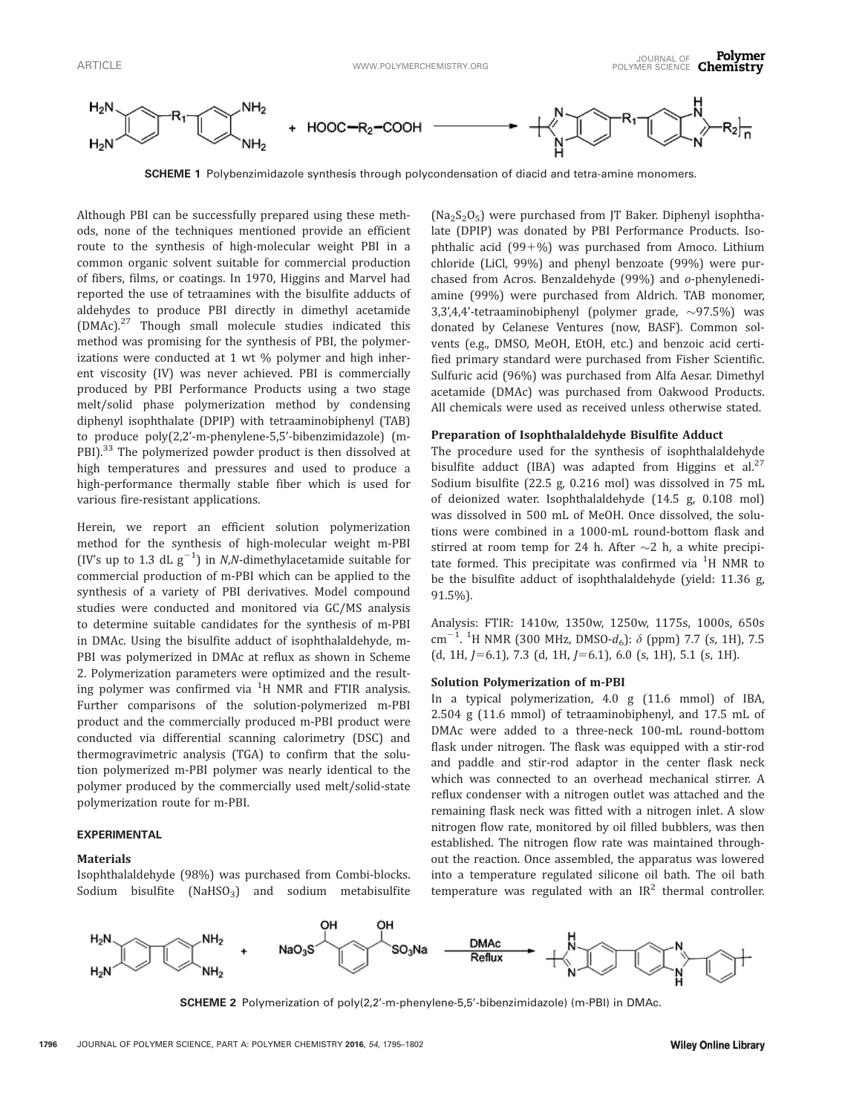

SCHEME 1 Polybenzimidazole synthesis through polycondensation of diacid and tetra-amine monomers.

Although PBI can be successfully prepared using these methods, none of the techniques mentioned provide an efficient route to the synthesis of high-molecular weight PBI in a common organic solvent suitable for commercial production of fibers, films, or coatings. In 1970, Higgins and Marvel had reported the use of tetraamines with the bisulfite adducts of aldehydes to produce PBI directly in dimethyl acetamide (DMAc).<sup>27</sup> Though small molecule studies indicated this method was promising for the synthesis of PBI, the polymerizations were conducted at 1 wt % polymer and high inherent viscosity (IV) was never achieved. PBI is commercially produced by PBI Performance Products using a two stage melt/solid phase polymerization method by condensing diphenyl isophthalate (DPIP) with tetraaminobiphenyl (TAB) to produce poly(2,2'-m-phenylene-5,5'-bibenzimidazole) (m-PBI).<sup>33</sup> The polymerized powder product is then dissolved at high temperatures and pressures and used to produce a high-performance thermally stable fiber which is used for various fire-resistant applications.

Herein, we report an efficient solution polymerization method for the synthesis of high-molecular weight m-PBI (IV's up to 1.3 dL  $g^{-1}$ ) in N,N-dimethylacetamide suitable for commercial production of m-PBI which can be applied to the synthesis of a variety of PBI derivatives. Model compound studies were conducted and monitored via GC/MS analysis to determine suitable candidates for the synthesis of m-PBI in DMAc. Using the bisulfite adduct of isophthalaldehyde, m-PBI was polymerized in DMAc at reflux as shown in Scheme 2. Polymerization parameters were optimized and the resulting polymer was confirmed via  ${}^{1}$ H NMR and FTIR analysis. Further comparisons of the solution-polymerized m-PBI product and the commercially produced m-PBI product were conducted via differential scanning calorimetry (DSC) and thermogravimetric analysis (TGA) to confirm that the solution polymerized m-PBI polymer was nearly identical to the polymer produced by the commercially used melt/solid-state polymerization route for m-PBI.

#### EXPERIMENTAL

## Materials

Isophthalaldehyde (98%) was purchased from Combi-blocks. Sodium bisulfite (NaHSO<sub>3</sub>) and sodium metabisulfite

 $(Na<sub>2</sub>S<sub>2</sub>O<sub>5</sub>)$  were purchased from JT Baker. Diphenyl isophthalate (DPIP) was donated by PBI Performance Products. Isophthalic acid  $(99+%)$  was purchased from Amoco. Lithium chloride (LiCl, 99%) and phenyl benzoate (99%) were purchased from Acros. Benzaldehyde (99%) and o-phenylenediamine (99%) were purchased from Aldrich. TAB monomer,  $3,3',4,4'$ -tetraaminobiphenyl (polymer grade,  $\sim$ 97.5%) was donated by Celanese Ventures (now, BASF). Common solvents (e.g., DMSO, MeOH, EtOH, etc.) and benzoic acid certified primary standard were purchased from Fisher Scientific. Sulfuric acid (96%) was purchased from Alfa Aesar. Dimethyl acetamide (DMAc) was purchased from Oakwood Products. All chemicals were used as received unless otherwise stated.

# Preparation of Isophthalaldehyde Bisulfite Adduct

The procedure used for the synthesis of isophthalaldehyde bisulfite adduct (IBA) was adapted from Higgins et al.<sup>27</sup> Sodium bisulfite (22.5 g, 0.216 mol) was dissolved in 75 mL of deionized water. Isophthalaldehyde (14.5 g, 0.108 mol) was dissolved in 500 mL of MeOH. Once dissolved, the solutions were combined in a 1000-mL round-bottom flask and stirred at room temp for 24 h. After  ${\sim}2$  h, a white precipitate formed. This precipitate was confirmed via  $^1\mathrm{H}$  NMR to be the bisulfite adduct of isophthalaldehyde (yield: 11.36 g, 91.5%).

Analysis: FTIR: 1410w, 1350w, 1250w, 1175s, 1000s, 650s cm<sup>-1</sup>. <sup>1</sup>H NMR (300 MHz, DMSO- $d_6$ ):  $\delta$  (ppm) 7.7 (s, 1H), 7.5  $(d, 1H, J=6.1), 7.3$   $(d, 1H, J=6.1), 6.0$   $(s, 1H), 5.1$   $(s, 1H).$ 

#### Solution Polymerization of m-PBI

In a typical polymerization, 4.0 g (11.6 mmol) of IBA, 2.504 g (11.6 mmol) of tetraaminobiphenyl, and 17.5 mL of DMAc were added to a three-neck 100-mL round-bottom flask under nitrogen. The flask was equipped with a stir-rod and paddle and stir-rod adaptor in the center flask neck which was connected to an overhead mechanical stirrer. A reflux condenser with a nitrogen outlet was attached and the remaining flask neck was fitted with a nitrogen inlet. A slow nitrogen flow rate, monitored by oil filled bubblers, was then established. The nitrogen flow rate was maintained throughout the reaction. Once assembled, the apparatus was lowered into a temperature regulated silicone oil bath. The oil bath temperature was regulated with an IR<sup>2</sup> thermal controller.



SCHEME 2 Polymerization of poly(2,2'-m-phenylene-5,5'-bibenzimidazole) (m-PBI) in DMAc.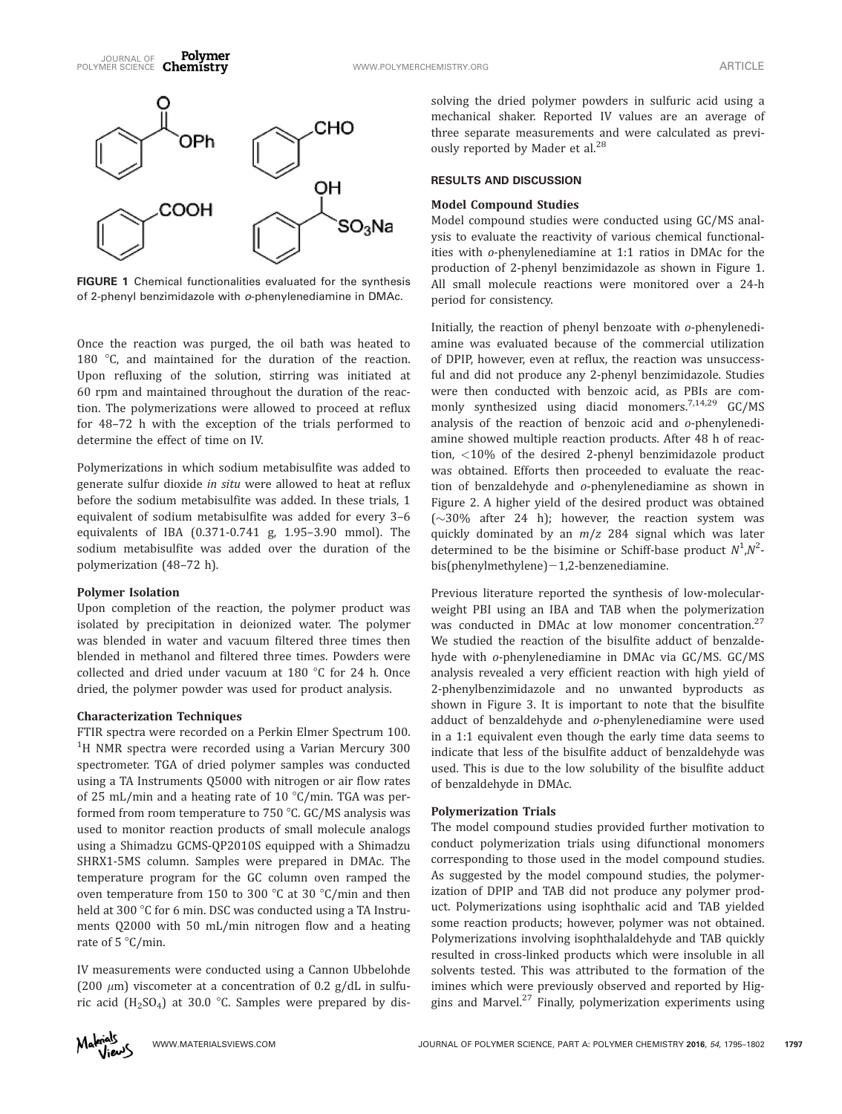

FIGURE 1 Chemical functionalities evaluated for the synthesis of 2-phenyl benzimidazole with o-phenylenediamine in DMAc.

Once the reaction was purged, the oil bath was heated to 180  $\degree$ C, and maintained for the duration of the reaction. Upon refluxing of the solution, stirring was initiated at 60 rpm and maintained throughout the duration of the reaction. The polymerizations were allowed to proceed at reflux for 48–72 h with the exception of the trials performed to determine the effect of time on IV.

Polymerizations in which sodium metabisulfite was added to generate sulfur dioxide in situ were allowed to heat at reflux before the sodium metabisulfite was added. In these trials, 1 equivalent of sodium metabisulfite was added for every 3–6 equivalents of IBA (0.371-0.741 g, 1.95–3.90 mmol). The sodium metabisulfite was added over the duration of the polymerization (48–72 h).

#### Polymer Isolation

Upon completion of the reaction, the polymer product was isolated by precipitation in deionized water. The polymer was blended in water and vacuum filtered three times then blended in methanol and filtered three times. Powders were collected and dried under vacuum at 180  $\degree$ C for 24 h. Once dried, the polymer powder was used for product analysis.

#### Characterization Techniques

FTIR spectra were recorded on a Perkin Elmer Spectrum 100. <sup>1</sup>H NMR spectra were recorded using a Varian Mercury 300 spectrometer. TGA of dried polymer samples was conducted using a TA Instruments Q5000 with nitrogen or air flow rates of 25 mL/min and a heating rate of 10  $\degree$ C/min. TGA was performed from room temperature to  $750$  °C. GC/MS analysis was used to monitor reaction products of small molecule analogs using a Shimadzu GCMS-QP2010S equipped with a Shimadzu SHRX1-5MS column. Samples were prepared in DMAc. The temperature program for the GC column oven ramped the oven temperature from 150 to 300  $\degree$ C at 30  $\degree$ C/min and then held at 300 °C for 6 min. DSC was conducted using a TA Instruments Q2000 with 50 mL/min nitrogen flow and a heating rate of  $5^{\circ}$ C/min.

IV measurements were conducted using a Cannon Ubbelohde (200  $\mu$ m) viscometer at a concentration of 0.2 g/dL in sulfuric acid ( $H_2SO_4$ ) at 30.0 °C. Samples were prepared by dissolving the dried polymer powders in sulfuric acid using a mechanical shaker. Reported IV values are an average of three separate measurements and were calculated as previously reported by Mader et al.<sup>28</sup>

#### RESULTS AND DISCUSSION

#### Model Compound Studies

Model compound studies were conducted using GC/MS analysis to evaluate the reactivity of various chemical functionalities with o-phenylenediamine at 1:1 ratios in DMAc for the production of 2-phenyl benzimidazole as shown in Figure 1. All small molecule reactions were monitored over a 24-h period for consistency.

Initially, the reaction of phenyl benzoate with o-phenylenediamine was evaluated because of the commercial utilization of DPIP, however, even at reflux, the reaction was unsuccessful and did not produce any 2-phenyl benzimidazole. Studies were then conducted with benzoic acid, as PBIs are commonly synthesized using diacid monomers.<sup>7,14,29</sup> GC/MS analysis of the reaction of benzoic acid and o-phenylenediamine showed multiple reaction products. After 48 h of reaction, <10% of the desired 2-phenyl benzimidazole product was obtained. Efforts then proceeded to evaluate the reaction of benzaldehyde and o-phenylenediamine as shown in Figure 2. A higher yield of the desired product was obtained  $(\sim]30\%$  after 24 h); however, the reaction system was quickly dominated by an  $m/z$  284 signal which was later determined to be the bisimine or Schiff-base product  $N^1, N^2$  $bis(phenylmethylene)-1,2-benzenediamine.$ 

Previous literature reported the synthesis of low-molecularweight PBI using an IBA and TAB when the polymerization was conducted in DMAc at low monomer concentration.<sup>27</sup> We studied the reaction of the bisulfite adduct of benzaldehyde with o-phenylenediamine in DMAc via GC/MS. GC/MS analysis revealed a very efficient reaction with high yield of 2-phenylbenzimidazole and no unwanted byproducts as shown in Figure 3. It is important to note that the bisulfite adduct of benzaldehyde and o-phenylenediamine were used in a 1:1 equivalent even though the early time data seems to indicate that less of the bisulfite adduct of benzaldehyde was used. This is due to the low solubility of the bisulfite adduct of benzaldehyde in DMAc.

# Polymerization Trials

The model compound studies provided further motivation to conduct polymerization trials using difunctional monomers corresponding to those used in the model compound studies. As suggested by the model compound studies, the polymerization of DPIP and TAB did not produce any polymer product. Polymerizations using isophthalic acid and TAB yielded some reaction products; however, polymer was not obtained. Polymerizations involving isophthalaldehyde and TAB quickly resulted in cross-linked products which were insoluble in all solvents tested. This was attributed to the formation of the imines which were previously observed and reported by Higgins and Marvel. $27$  Finally, polymerization experiments using

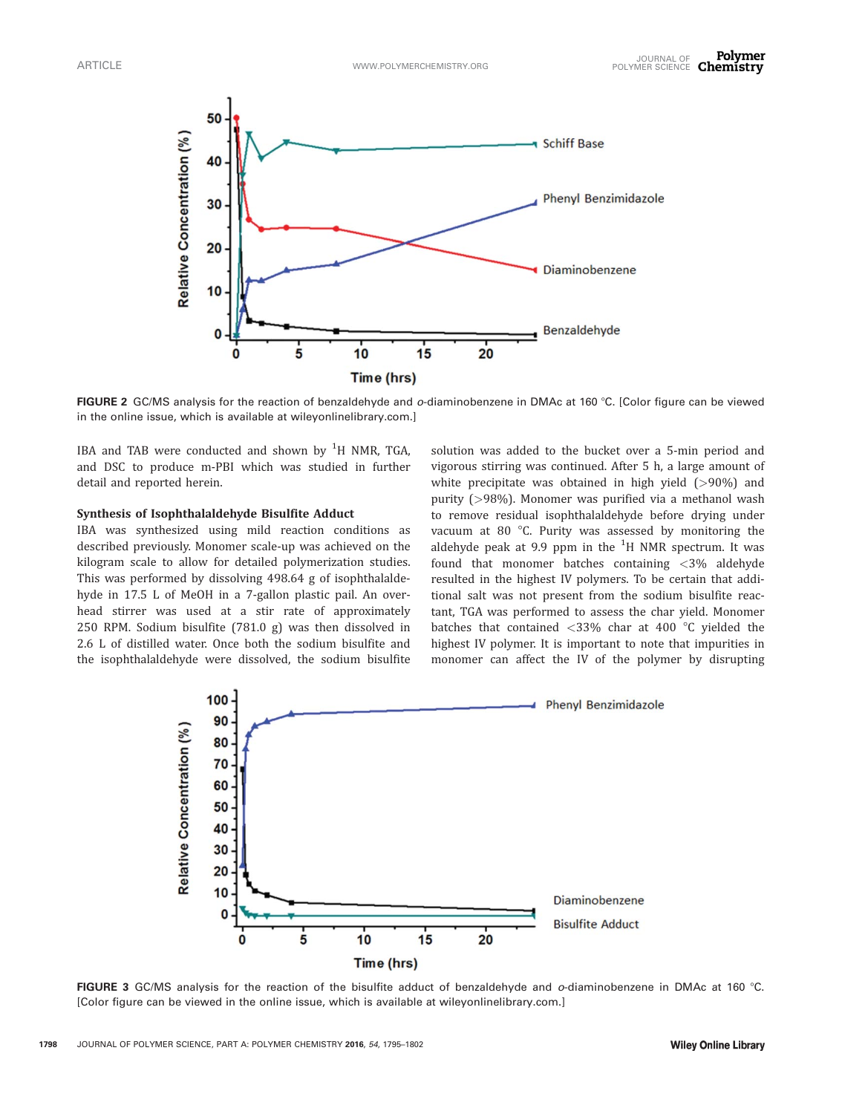

FIGURE 2 GC/MS analysis for the reaction of benzaldehyde and *o*-diaminobenzene in DMAc at 160 °C. [Color figure can be viewed in the online issue, which is available at [wileyonlinelibrary.com.](http://wileyonlinelibrary.com)]

IBA and TAB were conducted and shown by  $^{1}$ H NMR, TGA, and DSC to produce m-PBI which was studied in further detail and reported herein.

# Synthesis of Isophthalaldehyde Bisulfite Adduct

IBA was synthesized using mild reaction conditions as described previously. Monomer scale-up was achieved on the kilogram scale to allow for detailed polymerization studies. This was performed by dissolving 498.64 g of isophthalaldehyde in 17.5 L of MeOH in a 7-gallon plastic pail. An overhead stirrer was used at a stir rate of approximately 250 RPM. Sodium bisulfite (781.0 g) was then dissolved in 2.6 L of distilled water. Once both the sodium bisulfite and the isophthalaldehyde were dissolved, the sodium bisulfite solution was added to the bucket over a 5-min period and vigorous stirring was continued. After 5 h, a large amount of white precipitate was obtained in high yield (>90%) and purity (>98%). Monomer was purified via a methanol wash to remove residual isophthalaldehyde before drying under vacuum at 80 $\degree$ C. Purity was assessed by monitoring the aldehyde peak at 9.9 ppm in the  $^1\mathrm{H}$  NMR spectrum. It was found that monomer batches containing <3% aldehyde resulted in the highest IV polymers. To be certain that additional salt was not present from the sodium bisulfite reactant, TGA was performed to assess the char yield. Monomer batches that contained  $\langle 33\%$  char at 400 °C yielded the highest IV polymer. It is important to note that impurities in monomer can affect the IV of the polymer by disrupting



FIGURE 3 GC/MS analysis for the reaction of the bisulfite adduct of benzaldehyde and  $o$ -diaminobenzene in DMAc at 160 °C. [Color figure can be viewed in the online issue, which is available at [wileyonlinelibrary.com](http://wileyonlinelibrary.com).]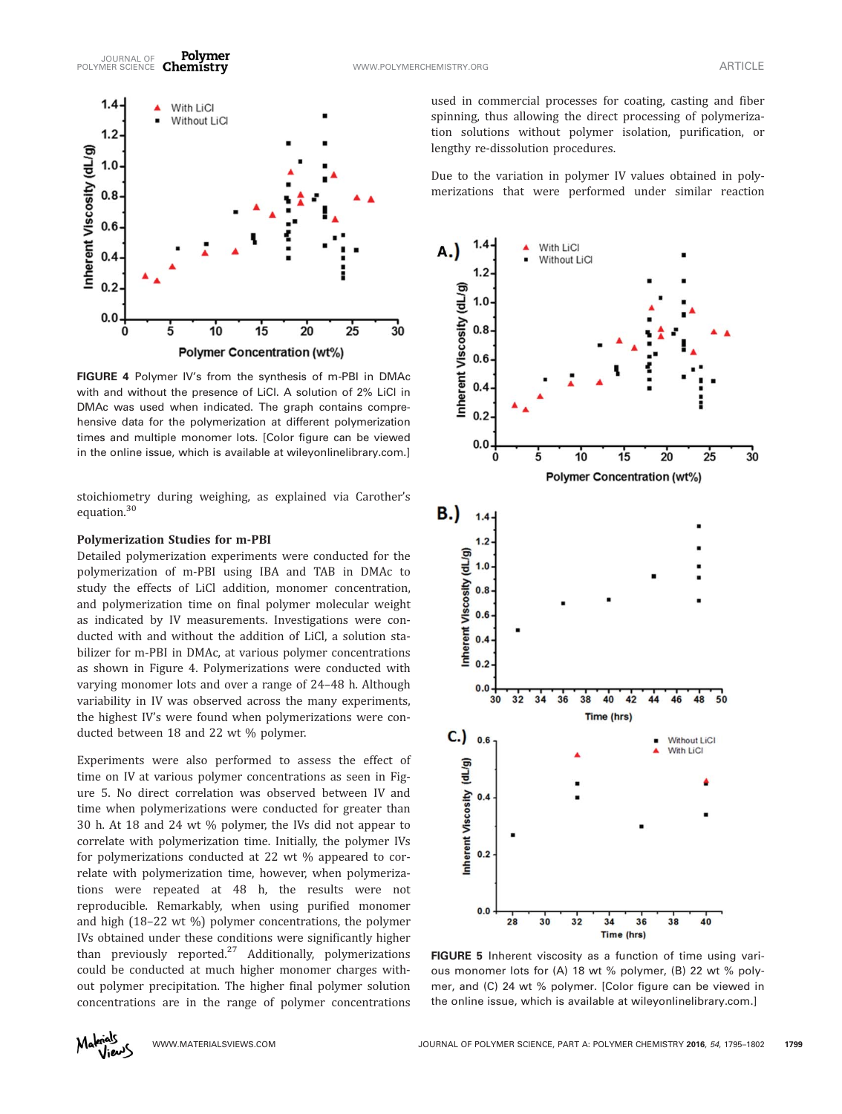



FIGURE 4 Polymer IV's from the synthesis of m-PBI in DMAc with and without the presence of LiCl. A solution of 2% LiCl in DMAc was used when indicated. The graph contains comprehensive data for the polymerization at different polymerization times and multiple monomer lots. [Color figure can be viewed in the online issue, which is available at [wileyonlinelibrary.com](http://wileyonlinelibrary.com).]

stoichiometry during weighing, as explained via Carother's equation.<sup>30</sup>

# Polymerization Studies for m-PBI

 $1.4 -$ 

 $1.2$ 

 $1.0$ 

Detailed polymerization experiments were conducted for the polymerization of m-PBI using IBA and TAB in DMAc to study the effects of LiCl addition, monomer concentration, and polymerization time on final polymer molecular weight as indicated by IV measurements. Investigations were conducted with and without the addition of LiCl, a solution stabilizer for m-PBI in DMAc, at various polymer concentrations as shown in Figure 4. Polymerizations were conducted with varying monomer lots and over a range of 24–48 h. Although variability in IV was observed across the many experiments, the highest IV's were found when polymerizations were conducted between 18 and 22 wt % polymer.

Experiments were also performed to assess the effect of time on IV at various polymer concentrations as seen in Figure 5. No direct correlation was observed between IV and time when polymerizations were conducted for greater than 30 h. At 18 and 24 wt % polymer, the IVs did not appear to correlate with polymerization time. Initially, the polymer IVs for polymerizations conducted at 22 wt % appeared to correlate with polymerization time, however, when polymerizations were repeated at 48 h, the results were not reproducible. Remarkably, when using purified monomer and high (18–22 wt %) polymer concentrations, the polymer IVs obtained under these conditions were significantly higher than previously reported.<sup>27</sup> Additionally, polymerizations could be conducted at much higher monomer charges without polymer precipitation. The higher final polymer solution concentrations are in the range of polymer concentrations

used in commercial processes for coating, casting and fiber spinning, thus allowing the direct processing of polymerization solutions without polymer isolation, purification, or lengthy re-dissolution procedures.

Due to the variation in polymer IV values obtained in polymerizations that were performed under similar reaction



FIGURE 5 Inherent viscosity as a function of time using various monomer lots for (A) 18 wt % polymer, (B) 22 wt % polymer, and (C) 24 wt % polymer. [Color figure can be viewed in the online issue, which is available at [wileyonlinelibrary.com.](http://wileyonlinelibrary.com)]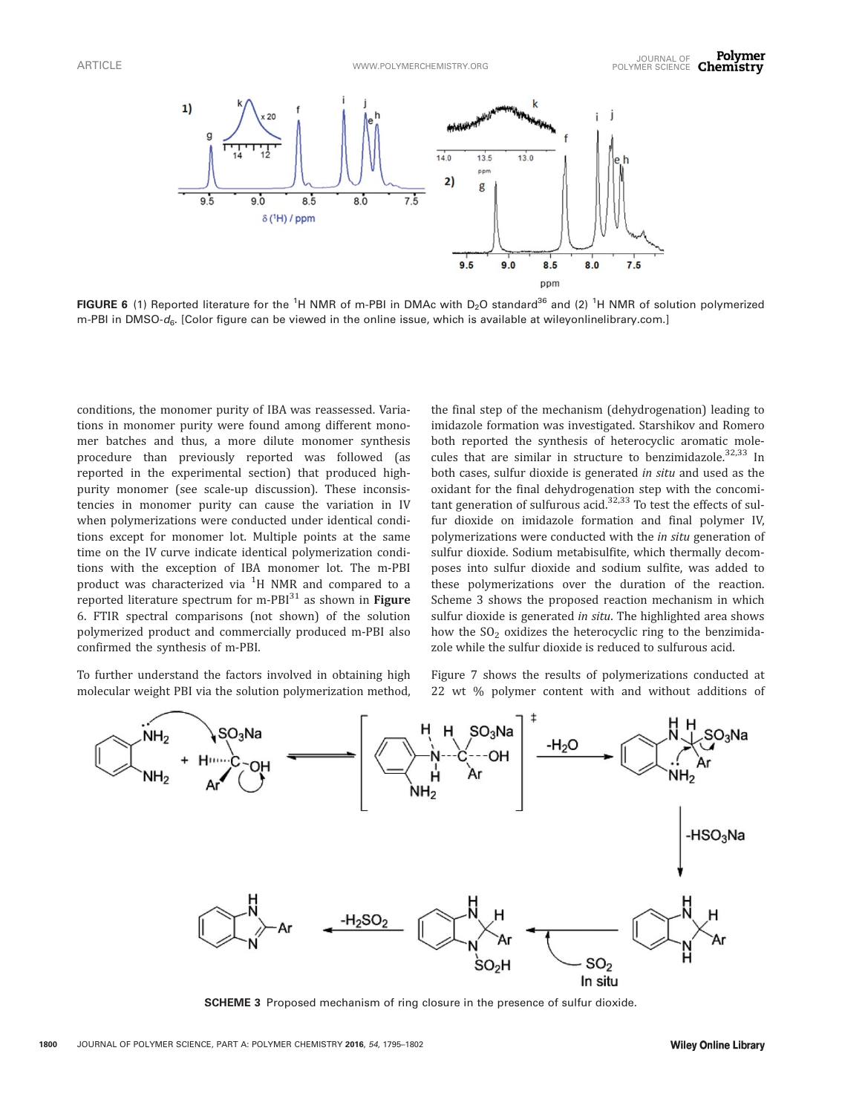

FIGURE 6 (1) Reported literature for the <sup>1</sup>H NMR of m-PBI in DMAc with D<sub>2</sub>O standard<sup>36</sup> and (2) <sup>1</sup>H NMR of solution polymerized m-PBI in DMSO-d<sub>6</sub>. [Color figure can be viewed in the online issue, which is available at [wileyonlinelibrary.com.](http://wileyonlinelibrary.com)]

conditions, the monomer purity of IBA was reassessed. Variations in monomer purity were found among different monomer batches and thus, a more dilute monomer synthesis procedure than previously reported was followed (as reported in the experimental section) that produced highpurity monomer (see scale-up discussion). These inconsistencies in monomer purity can cause the variation in IV when polymerizations were conducted under identical conditions except for monomer lot. Multiple points at the same time on the IV curve indicate identical polymerization conditions with the exception of IBA monomer lot. The m-PBI product was characterized via  ${}^{1}\mathrm{H}$  NMR and compared to a reported literature spectrum for m-PBI $^{31}$  as shown in Figure 6. FTIR spectral comparisons (not shown) of the solution polymerized product and commercially produced m-PBI also confirmed the synthesis of m-PBI.

To further understand the factors involved in obtaining high molecular weight PBI via the solution polymerization method,

the final step of the mechanism (dehydrogenation) leading to imidazole formation was investigated. Starshikov and Romero both reported the synthesis of heterocyclic aromatic molecules that are similar in structure to benzimidazole. $32,33$  In both cases, sulfur dioxide is generated in situ and used as the oxidant for the final dehydrogenation step with the concomitant generation of sulfurous acid. $32,33$  To test the effects of sulfur dioxide on imidazole formation and final polymer IV, polymerizations were conducted with the *in situ* generation of sulfur dioxide. Sodium metabisulfite, which thermally decomposes into sulfur dioxide and sodium sulfite, was added to these polymerizations over the duration of the reaction. Scheme 3 shows the proposed reaction mechanism in which sulfur dioxide is generated in situ. The highlighted area shows how the  $SO<sub>2</sub>$  oxidizes the heterocyclic ring to the benzimidazole while the sulfur dioxide is reduced to sulfurous acid.

Figure 7 shows the results of polymerizations conducted at 22 wt % polymer content with and without additions of



SCHEME 3 Proposed mechanism of ring closure in the presence of sulfur dioxide.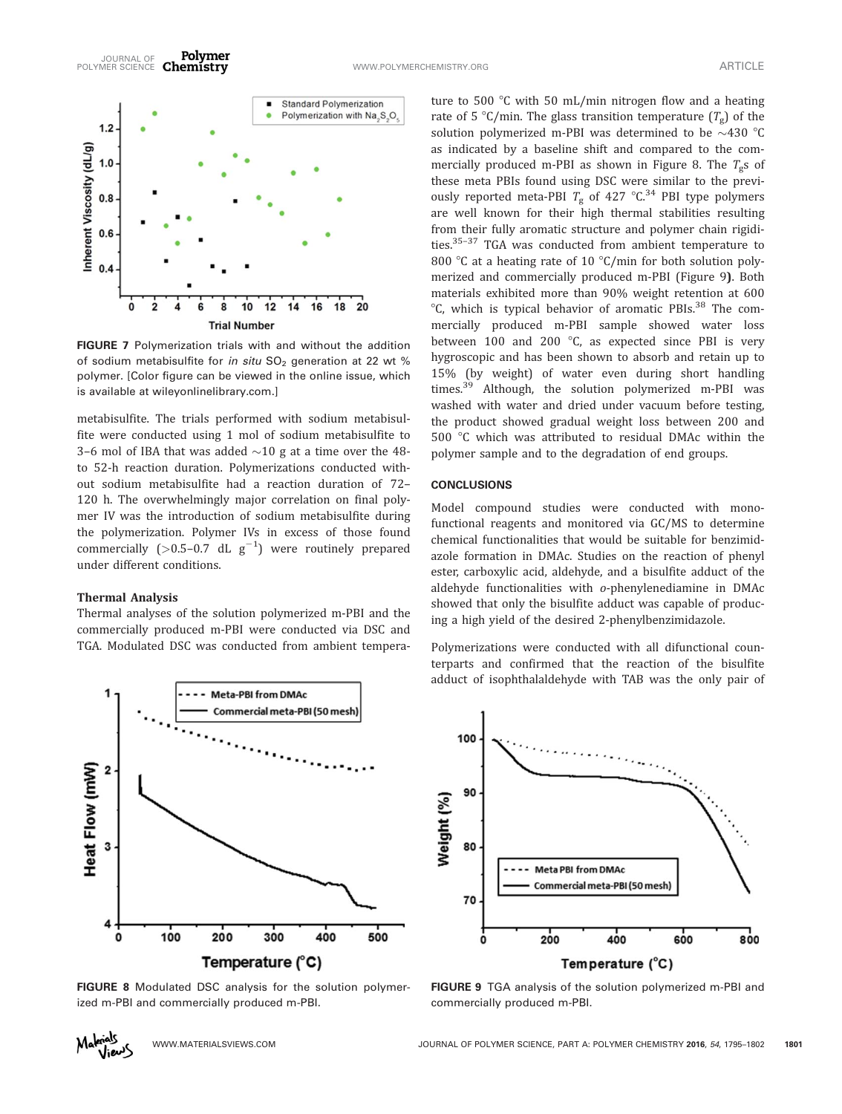

FIGURE 7 Polymerization trials with and without the addition of sodium metabisulfite for in situ  $SO_2$  generation at 22 wt % polymer. [Color figure can be viewed in the online issue, which is available at [wileyonlinelibrary.com](http://wileyonlinelibrary.com).]

metabisulfite. The trials performed with sodium metabisulfite were conducted using 1 mol of sodium metabisulfite to 3-6 mol of IBA that was added  ${\sim}10$  g at a time over the 48to 52-h reaction duration. Polymerizations conducted without sodium metabisulfite had a reaction duration of 72– 120 h. The overwhelmingly major correlation on final polymer IV was the introduction of sodium metabisulfite during the polymerization. Polymer IVs in excess of those found commercially (>0.5-0.7 dL  $g^{-1}$ ) were routinely prepared under different conditions.

#### Thermal Analysis

Thermal analyses of the solution polymerized m-PBI and the commercially produced m-PBI were conducted via DSC and TGA. Modulated DSC was conducted from ambient tempera-



FIGURE 8 Modulated DSC analysis for the solution polymerized m-PBI and commercially produced m-PBI.

ture to 500  $\degree$ C with 50 mL/min nitrogen flow and a heating rate of 5 °C/min. The glass transition temperature  $(T_{g})$  of the solution polymerized m-PBI was determined to be  ${\sim}430$  °C as indicated by a baseline shift and compared to the commercially produced m-PBI as shown in Figure 8. The  $T_{\rm g}$ s of these meta PBIs found using DSC were similar to the previously reported meta-PBI  $T_{\rm g}$  of 427 °C.<sup>34</sup> PBI type polymers are well known for their high thermal stabilities resulting from their fully aromatic structure and polymer chain rigidities.35–37 TGA was conducted from ambient temperature to 800 °C at a heating rate of 10 °C/min for both solution polymerized and commercially produced m-PBI (Figure 9). Both materials exhibited more than 90% weight retention at 600  $\rm{C}$ , which is typical behavior of aromatic PBIs.<sup>38</sup> The commercially produced m-PBI sample showed water loss between 100 and 200  $^{\circ}$ C, as expected since PBI is very hygroscopic and has been shown to absorb and retain up to 15% (by weight) of water even during short handling times.<sup>39</sup> Although, the solution polymerized m-PBI was washed with water and dried under vacuum before testing, the product showed gradual weight loss between 200 and 500 °C which was attributed to residual DMAc within the polymer sample and to the degradation of end groups.

### **CONCLUSIONS**

Model compound studies were conducted with monofunctional reagents and monitored via GC/MS to determine chemical functionalities that would be suitable for benzimidazole formation in DMAc. Studies on the reaction of phenyl ester, carboxylic acid, aldehyde, and a bisulfite adduct of the aldehyde functionalities with o-phenylenediamine in DMAc showed that only the bisulfite adduct was capable of producing a high yield of the desired 2-phenylbenzimidazole.

Polymerizations were conducted with all difunctional counterparts and confirmed that the reaction of the bisulfite adduct of isophthalaldehyde with TAB was the only pair of



FIGURE 9 TGA analysis of the solution polymerized m-PBI and commercially produced m-PBI.